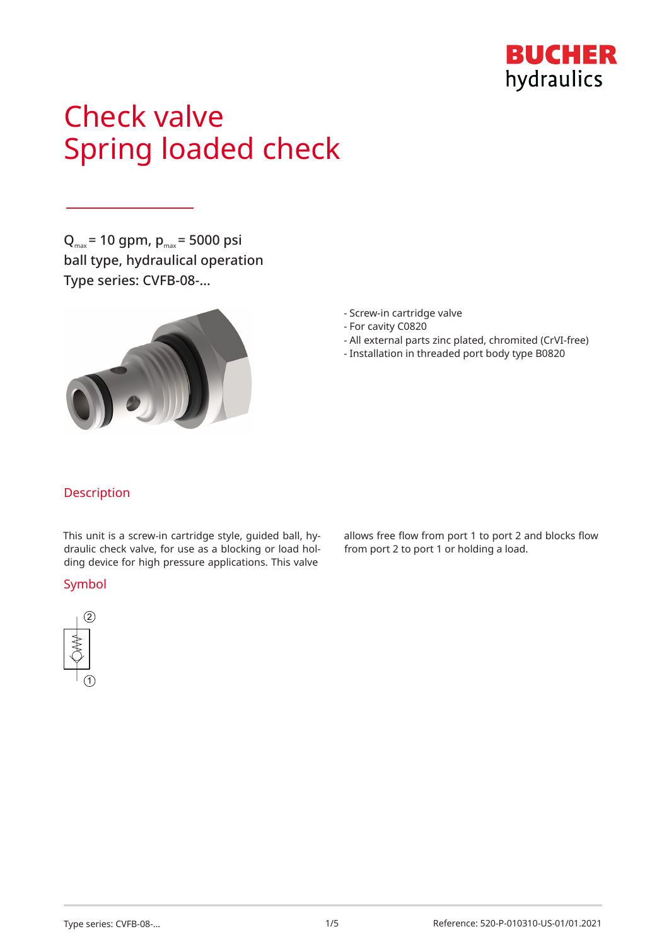

# Check valve Spring loaded check

 $Q_{\text{max}}$  = 10 gpm,  $p_{\text{max}}$  = 5000 psi ball type, hydraulical operation Type series: CVFB-08-…



- Screw-in cartridge valve
- For cavity C0820
- All external parts zinc plated, chromited (CrVI-free)
- Installation in threaded port body type B0820

## Description

This unit is a screw-in cartridge style, guided ball, hydraulic check valve, for use as a blocking or load holding device for high pressure applications. This valve

#### Symbol



allows free flow from port 1 to port 2 and blocks flow from port 2 to port 1 or holding a load.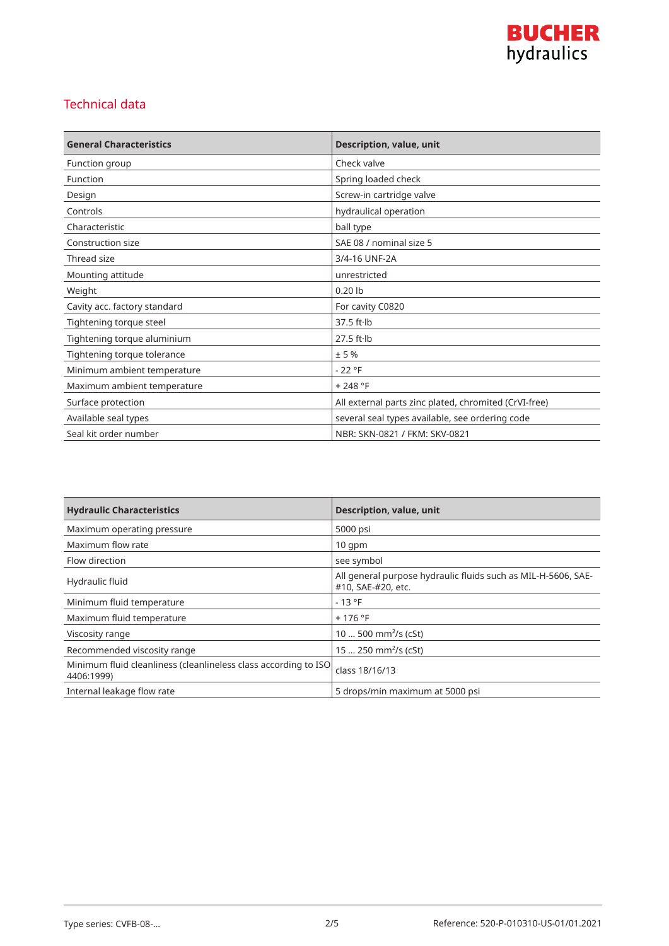

## Technical data

| <b>General Characteristics</b> | <b>Description, value, unit</b>                       |
|--------------------------------|-------------------------------------------------------|
| Function group                 | Check valve                                           |
| Function                       | Spring loaded check                                   |
| Design                         | Screw-in cartridge valve                              |
| Controls                       | hydraulical operation                                 |
| Characteristic                 | ball type                                             |
| Construction size              | SAE 08 / nominal size 5                               |
| Thread size                    | 3/4-16 UNF-2A                                         |
| Mounting attitude              | unrestricted                                          |
| Weight                         | $0.20$ lb                                             |
| Cavity acc. factory standard   | For cavity C0820                                      |
| Tightening torque steel        | $37.5$ ft $\cdot$ lb                                  |
| Tightening torque aluminium    | $27.5$ ft $\cdot$ lb                                  |
| Tightening torque tolerance    | ±5%                                                   |
| Minimum ambient temperature    | $-22$ °F                                              |
| Maximum ambient temperature    | $+248 °F$                                             |
| Surface protection             | All external parts zinc plated, chromited (CrVI-free) |
| Available seal types           | several seal types available, see ordering code       |
| Seal kit order number          | NBR: SKN-0821 / FKM: SKV-0821                         |

| <b>Hydraulic Characteristics</b>                                              | <b>Description, value, unit</b>                                                     |
|-------------------------------------------------------------------------------|-------------------------------------------------------------------------------------|
| Maximum operating pressure                                                    | 5000 psi                                                                            |
| Maximum flow rate                                                             | $10$ qpm                                                                            |
| Flow direction                                                                | see symbol                                                                          |
| Hydraulic fluid                                                               | All general purpose hydraulic fluids such as MIL-H-5606, SAE-<br>#10, SAE-#20, etc. |
| Minimum fluid temperature                                                     | $-13 °F$                                                                            |
| Maximum fluid temperature                                                     | $+176$ °F                                                                           |
| Viscosity range                                                               | 10  500 mm <sup>2</sup> /s (cSt)                                                    |
| Recommended viscosity range                                                   | 15  250 mm <sup>2</sup> /s (cSt)                                                    |
| Minimum fluid cleanliness (cleanlineless class according to ISO<br>4406:1999) | class 18/16/13                                                                      |
| Internal leakage flow rate                                                    | 5 drops/min maximum at 5000 psi                                                     |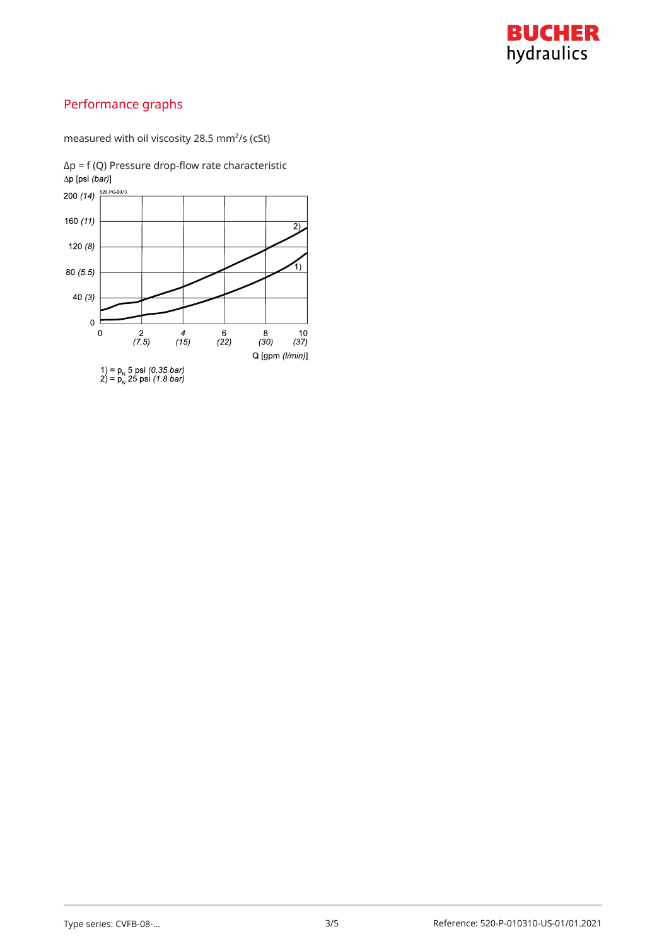

# Performance graphs

measured with oil viscosity 28.5 mm²/s (cSt)

 $Δp = f (Q)$  Pressure drop-flow rate characteristic  $Δp [psi (bar)]$ 

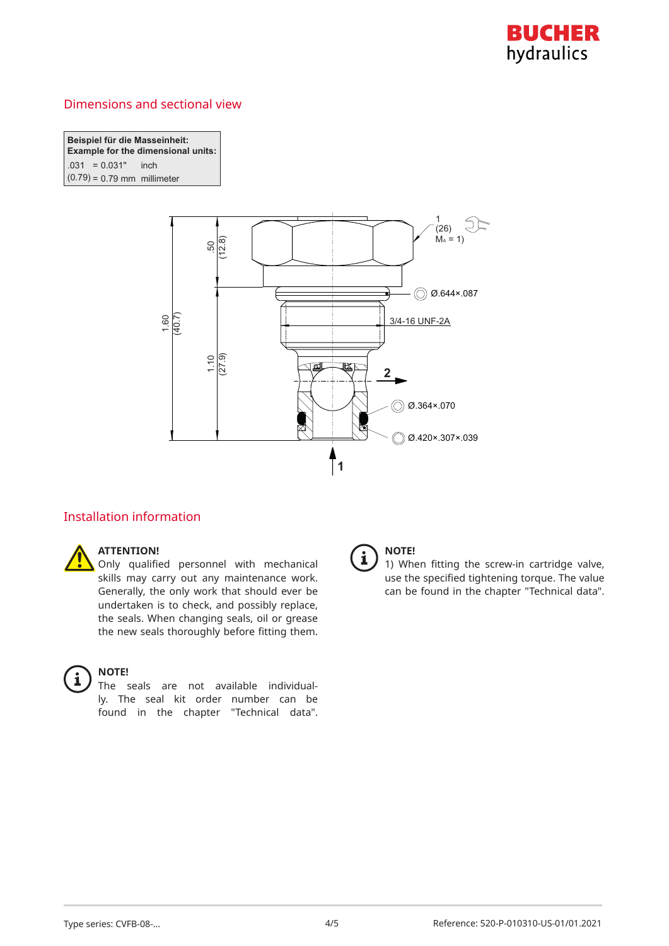

## Dimensions and sectional view

**Beispiel für die Masseinheit: Example for the dimensional units:** *C*( $-0.031$  inch  $(0.79) = 0.79$  mm millimeter



#### Installation information



#### **ATTENTION!**

Only qualified personnel with mechanical skills may carry out any maintenance work. Generally, the only work that should ever be undertaken is to check, and possibly replace, the seals. When changing seals, oil or grease the new seals thoroughly before fitting them.



#### **NOTE!**

The seals are not available individually. The seal kit order number can be found in the chapter "Technical data".



#### **NOTE!**

1) When fitting the screw-in cartridge valve, use the specified tightening torque. The value can be found in the chapter "Technical data".